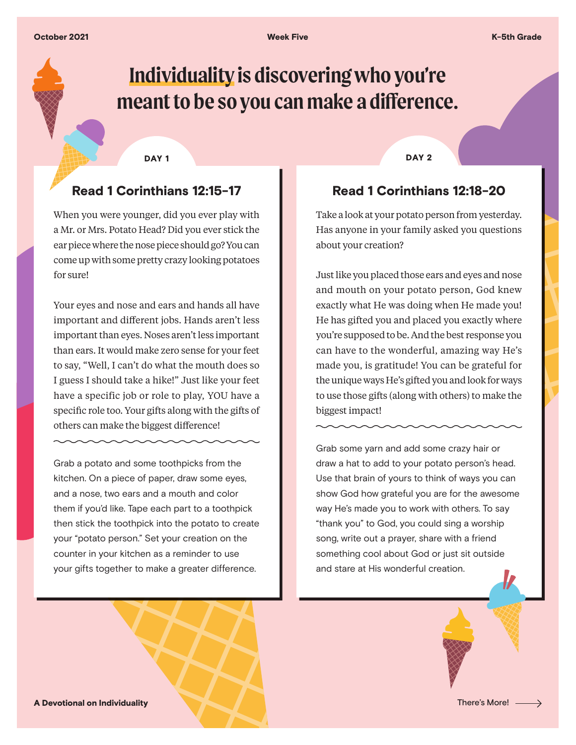# **Individuality is discovering who you're meant to be so you can make a difference.**

# Read 1 Corinthians 12:15-17

When you were younger, did you ever play with a Mr. or Mrs. Potato Head? Did you ever stick the ear piece where the nose piece should go? You can come up with some pretty crazy looking potatoes for sure!

Your eyes and nose and ears and hands all have important and different jobs. Hands aren't less important than eyes. Noses aren't less important than ears. It would make zero sense for your feet to say, "Well, I can't do what the mouth does so I guess I should take a hike!" Just like your feet have a specific job or role to play, YOU have a specific role too. Your gifts along with the gifts of others can make the biggest difference!

Grab a potato and some toothpicks from the kitchen. On a piece of paper, draw some eyes, and a nose, two ears and a mouth and color them if you'd like. Tape each part to a toothpick then stick the toothpick into the potato to create your "potato person." Set your creation on the counter in your kitchen as a reminder to use your gifts together to make a greater difference.

DAY 1 DAY 2

#### Read 1 Corinthians 12:18-20

Take a look at your potato person from yesterday. Has anyone in your family asked you questions about your creation?

Just like you placed those ears and eyes and nose and mouth on your potato person, God knew exactly what He was doing when He made you! He has gifted you and placed you exactly where you're supposed to be. And the best response you can have to the wonderful, amazing way He's made you, is gratitude! You can be grateful for the unique ways He's gifted you and look for ways to use those gifts (along with others) to make the biggest impact!

Grab some yarn and add some crazy hair or draw a hat to add to your potato person's head. Use that brain of yours to think of ways you can show God how grateful you are for the awesome way He's made you to work with others. To say "thank you" to God, you could sing a worship song, write out a prayer, share with a friend something cool about God or just sit outside and stare at His wonderful creation.

A Devotional on Individuality **There's More!** There's More! -